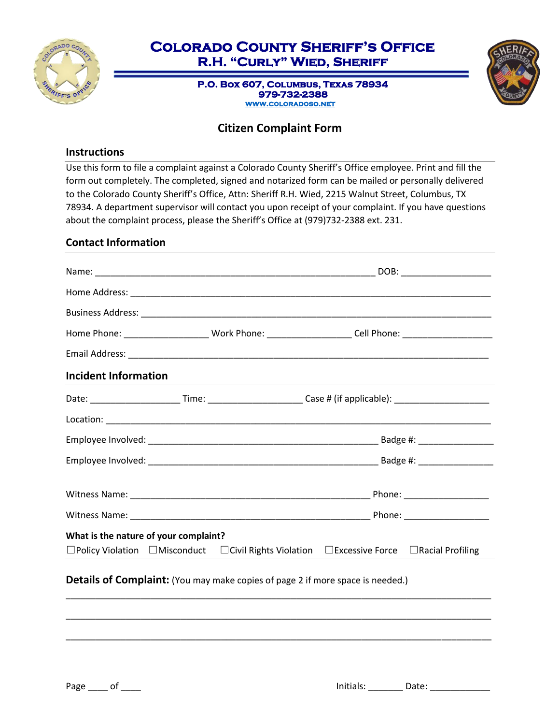

## **Colorado County Sheriff's Office R.H. "Curly" Wied, Sheriff**

**P.O. Box 607, Columbus, Texas 78934 979-732-2388 [www.coloradoso.net](http://www.coloradoso.net/)** 



## **Citizen Complaint Form**

## **Instructions**

Use this form to file a complaint against a Colorado County Sheriff's Office employee. Print and fill the form out completely. The completed, signed and notarized form can be mailed or personally delivered to the Colorado County Sheriff's Office, Attn: Sheriff R.H. Wied, 2215 Walnut Street, Columbus, TX 78934. A department supervisor will contact you upon receipt of your complaint. If you have questions about the complaint process, please the Sheriff's Office at (979)732-2388 ext. 231.

### **Contact Information**

|                                                                                       |  | Home Phone: ____________________________ Work Phone: _______________________Cell Phone: ______________________         |  |  |
|---------------------------------------------------------------------------------------|--|------------------------------------------------------------------------------------------------------------------------|--|--|
|                                                                                       |  |                                                                                                                        |  |  |
| <b>Incident Information</b>                                                           |  |                                                                                                                        |  |  |
|                                                                                       |  | Date: ____________________________Time: ____________________________Case # (if applicable): _______________________    |  |  |
|                                                                                       |  |                                                                                                                        |  |  |
|                                                                                       |  |                                                                                                                        |  |  |
|                                                                                       |  |                                                                                                                        |  |  |
|                                                                                       |  |                                                                                                                        |  |  |
|                                                                                       |  |                                                                                                                        |  |  |
| What is the nature of your complaint?                                                 |  |                                                                                                                        |  |  |
|                                                                                       |  | $\Box$ Policy Violation $\Box$ Misconduct $\Box$ Civil Rights Violation $\Box$ Excessive Force $\Box$ Racial Profiling |  |  |
| <b>Details of Complaint:</b> (You may make copies of page 2 if more space is needed.) |  |                                                                                                                        |  |  |
|                                                                                       |  |                                                                                                                        |  |  |

\_\_\_\_\_\_\_\_\_\_\_\_\_\_\_\_\_\_\_\_\_\_\_\_\_\_\_\_\_\_\_\_\_\_\_\_\_\_\_\_\_\_\_\_\_\_\_\_\_\_\_\_\_\_\_\_\_\_\_\_\_\_\_\_\_\_\_\_\_\_\_\_\_\_\_\_\_\_\_\_\_\_\_\_\_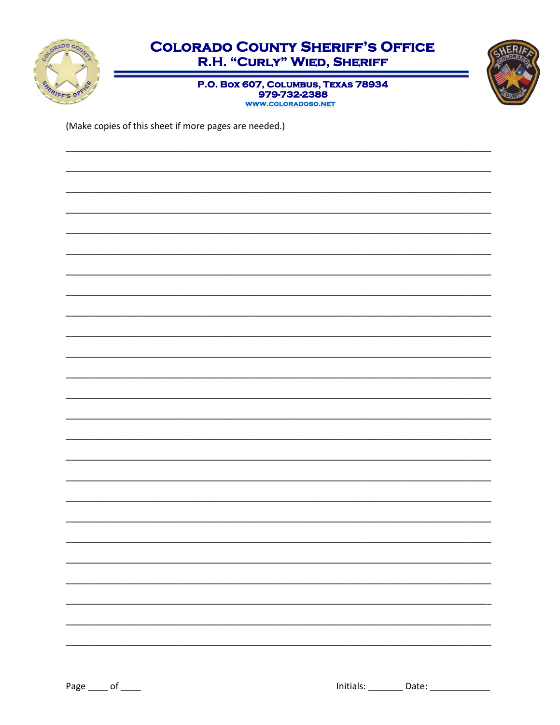

# **COLORADO COUNTY SHERIFF'S OFFICE** R.H. "CURLY" WIED, SHERIFF



P.O. Box 607, COLUMBUS, TEXAS 78934 979-732-2388

(Make copies of this sheet if more pages are needed.)